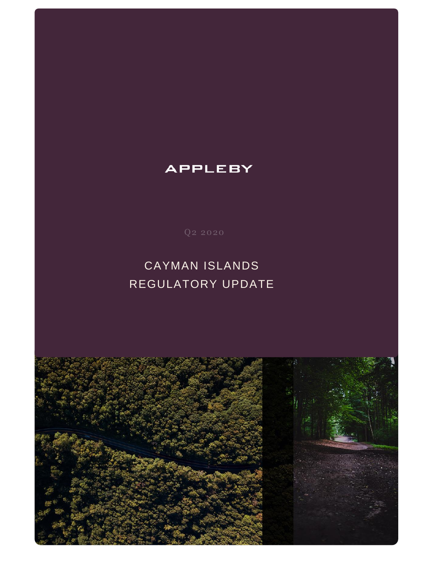

# CAYMAN ISLANDS REGULATORY UPDATE

## **APPLEBY**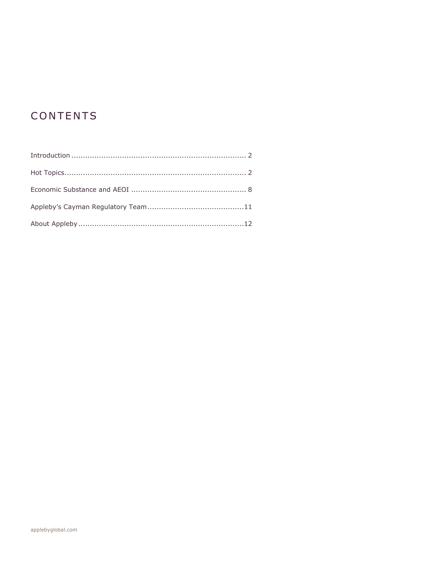## CONTENTS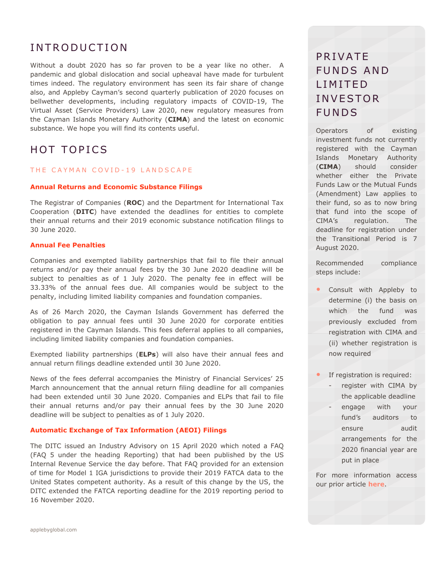## <span id="page-2-0"></span>**INTRODUCTION**

Without a doubt 2020 has so far proven to be a year like no other. A pandemic and global dislocation and social upheaval have made for turbulent times indeed. The regulatory environment has seen its fair share of change also, and Appleby Cayman's second quarterly publication of 2020 focuses on bellwether developments, including regulatory impacts of COVID-19, The Virtual Asset (Service Providers) Law 2020, new regulatory measures from the Cayman Islands Monetary Authority (**CIMA**) and the latest on economic substance. We hope you will find its contents useful.

## <span id="page-2-1"></span>HOT TOPICS

#### THE CAYMAN COVID-19 LANDSCAPE

#### **Annual Returns and Economic Substance Filings**

The Registrar of Companies (**ROC**) and the Department for International Tax Cooperation (**DITC**) have extended the deadlines for entities to complete their annual returns and their 2019 economic substance notification filings to 30 June 2020.

#### **Annual Fee Penalties**

Companies and exempted liability partnerships that fail to file their annual returns and/or pay their annual fees by the 30 June 2020 deadline will be subject to penalties as of 1 July 2020. The penalty fee in effect will be 33.33% of the annual fees due. All companies would be subject to the penalty, including limited liability companies and foundation companies.

As of 26 March 2020, the Cayman Islands Government has deferred the obligation to pay annual fees until 30 June 2020 for corporate entities registered in the Cayman Islands. This fees deferral applies to all companies, including limited liability companies and foundation companies.

Exempted liability partnerships (**ELPs**) will also have their annual fees and annual return filings deadline extended until 30 June 2020.

News of the fees deferral accompanies the Ministry of Financial Services' 25 March announcement that the annual return filing deadline for all companies had been extended until 30 June 2020. Companies and ELPs that fail to file their annual returns and/or pay their annual fees by the 30 June 2020 deadline will be subject to penalties as of 1 July 2020.

#### **Automatic Exchange of Tax Information (AEOI) Filings**

The DITC issued an Industry Advisory on 15 April 2020 which noted a [FAQ](https://protect.mimecast-offshore.com/s/40YxC0V7R8t22D1gSpqOtt?domain=hs-6327015.t.hubspotstarter-iv.net)  (FAQ 5 under the heading Reporting) that had been published by the US Internal Revenue Service the day before. That FAQ provided for an extension of time for Model 1 IGA jurisdictions to provide their 2019 FATCA data to the United States competent authority. As a result of this change by the US, the DITC extended the FATCA reporting deadline for the 2019 reporting period to 16 November 2020.

## **PRIVATE** FUNDS AND L I M I T E D **INVESTOR FUNDS**

Operators of existing investment funds not currently registered with the Cayman Islands Monetary Authority (**CIMA**) should consider whether either the Private Funds Law or the Mutual Funds (Amendment) Law applies to their fund, so as to now bring that fund into the scope of CIMA's regulation. The deadline for registration under the Transitional Period is 7 August 2020.

Recommended compliance steps include:

- Consult with Appleby to determine (i) the basis on which the fund was previously excluded from registration with CIMA and (ii) whether registration is now required
- If registration is required:
	- register with CIMA by the applicable deadline
	- engage with your fund's auditors to ensure audit arrangements for the 2020 financial year are put in place

For more information access our prior article **[here](https://www.applebyglobal.com/publications/cayman-regulatory-newsletter-q1-2020/)**.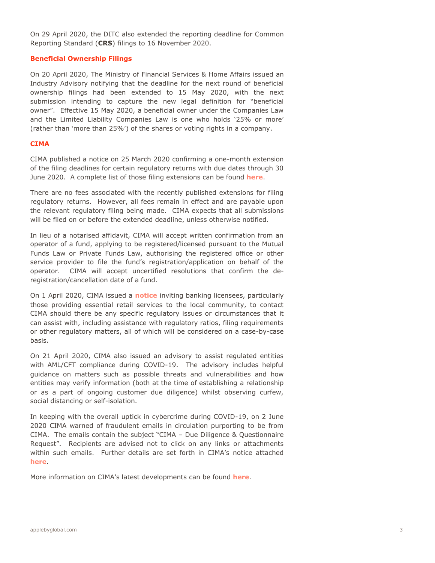On 29 April 2020, the DITC also extended the reporting deadline for Common Reporting Standard (**CRS**) filings to 16 November 2020.

#### **Beneficial Ownership Filings**

On 20 April 2020, The Ministry of Financial Services & Home Affairs issued an Industry Advisory notifying that the deadline for the next round of beneficial ownership filings had been extended to 15 May 2020, with the next submission intending to capture the new legal definition for "beneficial owner". Effective 15 May 2020, a beneficial owner under the Companies Law and the Limited Liability Companies Law is one who holds '25% or more' (rather than 'more than 25%') of the shares or voting rights in a company.

#### **CIMA**

CIMA published a notice on 25 March 2020 confirming a one-month extension of the filing deadlines for certain regulatory returns with due dates through 30 June 2020. A complete list of those filing extensions can be found **[here](https://www.cima.ky/upimages/commonfiles/ListofFilingExtensions_1585070451.pdf)**.

There are no fees associated with the recently published extensions for filing regulatory returns. However, all fees remain in effect and are payable upon the relevant regulatory filing being made. CIMA expects that all submissions will be filed on or before the extended deadline, unless otherwise notified.

In lieu of a notarised affidavit, CIMA will accept written confirmation from an operator of a fund, applying to be registered/licensed pursuant to the Mutual Funds Law or Private Funds Law, authorising the registered office or other service provider to file the fund's registration/application on behalf of the operator. CIMA will accept uncertified resolutions that confirm the deregistration/cancellation date of a fund.

On 1 April 2020, CIMA issued a **[notice](https://www.cima.ky/upimages/noticedoc/Notice-RegulatoryAidforBankingIndustry.docx_1585761556.pdf)** inviting banking licensees, particularly those providing essential retail services to the local community, to contact CIMA should there be any specific regulatory issues or circumstances that it can assist with, including assistance with regulatory ratios, filing requirements or other regulatory matters, all of which will be considered on a case-by-case basis.

On 21 April 2020, CIMA also issued an advisory to assist regulated entities with AML/CFT compliance during COVID-19. The advisory includes helpful guidance on matters such as possible threats and vulnerabilities and how entities may verify information (both at the time of establishing a relationship or as a part of ongoing customer due diligence) whilst observing curfew, social distancing or self-isolation.

In keeping with the overall uptick in cybercrime during COVID-19, on 2 June 2020 CIMA warned of fraudulent emails in circulation purporting to be from CIMA. The emails contain the subject "CIMA – Due Diligence & Questionnaire Request". Recipients are advised not to click on any links or attachments within such emails. Further details are set forth in CIMA's notice attached **[here](https://www.cima.ky/upimages/noticedoc/Notice-FraudulentEmail_1591140546.pdf)**.

More information on CIMA's latest developments can be found **[here](http://www.cima.ky/)**.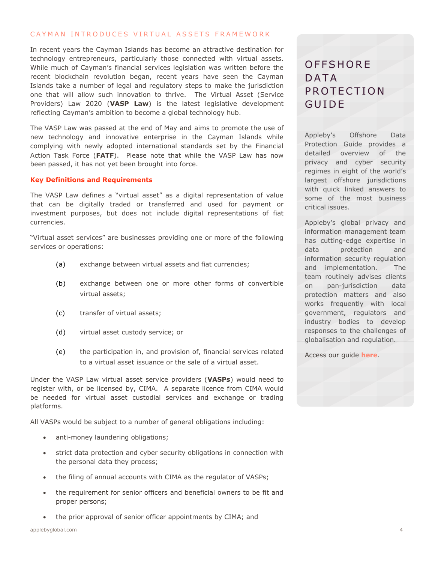#### CAYMAN INTRODUCES VIRTUAL ASSETS FRAMEWORK

In recent years the Cayman Islands has become an attractive destination for technology entrepreneurs, particularly those connected with virtual assets. While much of Cayman's financial services legislation was written before the recent blockchain revolution began, recent years have seen the Cayman Islands take a number of legal and regulatory steps to make the jurisdiction one that will allow such innovation to thrive. The Virtual Asset (Service Providers) Law 2020 (**VASP Law**) is the latest legislative development reflecting Cayman's ambition to become a global technology hub.

The VASP Law was passed at the end of May and aims to promote the use of new technology and innovative enterprise in the Cayman Islands while complying with newly adopted international standards set by the Financial Action Task Force (**FATF**). Please note that while the VASP Law has now been passed, it has not yet been brought into force.

#### **Key Definitions and Requirements**

The VASP Law defines a "virtual asset" as a digital representation of value that can be digitally traded or transferred and used for payment or investment purposes, but does not include digital representations of fiat currencies.

"Virtual asset services" are businesses providing one or more of the following services or operations:

- (a) exchange between virtual assets and fiat currencies;
- (b) exchange between one or more other forms of convertible virtual assets;
- (c) transfer of virtual assets;
- (d) virtual asset custody service; or
- (e) the participation in, and provision of, financial services related to a virtual asset issuance or the sale of a virtual asset.

Under the VASP Law virtual asset service providers (**VASPs**) would need to register with, or be licensed by, CIMA. A separate licence from CIMA would be needed for virtual asset custodial services and exchange or trading platforms.

All VASPs would be subject to a number of general obligations including:

- anti-money laundering obligations;
- strict data protection and cyber security obligations in connection with the personal data they process;
- the filing of annual accounts with CIMA as the regulator of VASPs;
- the requirement for senior officers and beneficial owners to be fit and proper persons;
- the prior approval of senior officer appointments by CIMA; and

### **OFFSHORE** D A T A PROTECTION **GUIDE**

Appleby's Offshore Data Protection Guide provides a detailed overview of the privacy and cyber security regimes in eight of the world's largest offshore jurisdictions with quick linked answers to some of the most business critical issues.

Appleby's global privacy and information management team has cutting-edge expertise in data protection and information security regulation and implementation. The team routinely advises clients on pan-jurisdiction data protection matters and also works frequently with local government, regulators and industry bodies to develop responses to the challenges of globalisation and regulation.

Access our guide **[here](https://www.applebyglobal.com/publications/appleby-data-protection-guides/)**.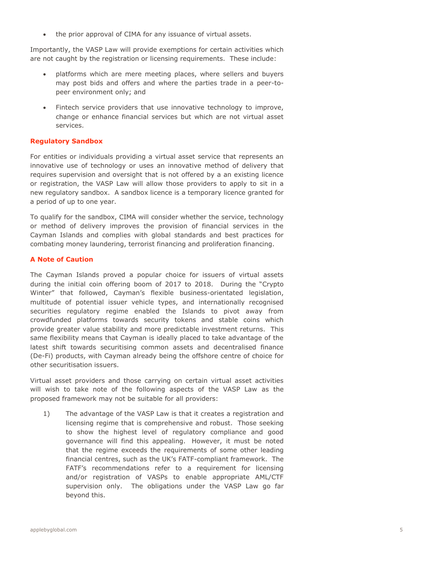the prior approval of CIMA for any issuance of virtual assets.

Importantly, the VASP Law will provide exemptions for certain activities which are not caught by the registration or licensing requirements. These include:

- platforms which are mere meeting places, where sellers and buyers may post bids and offers and where the parties trade in a peer-topeer environment only; and
- Fintech service providers that use innovative technology to improve, change or enhance financial services but which are not virtual asset services.

#### **Regulatory Sandbox**

For entities or individuals providing a virtual asset service that represents an innovative use of technology or uses an innovative method of delivery that requires supervision and oversight that is not offered by a an existing licence or registration, the VASP Law will allow those providers to apply to sit in a new regulatory sandbox. A sandbox licence is a temporary licence granted for a period of up to one year.

To qualify for the sandbox, CIMA will consider whether the service, technology or method of delivery improves the provision of financial services in the Cayman Islands and complies with global standards and best practices for combating money laundering, terrorist financing and proliferation financing.

#### **A Note of Caution**

The Cayman Islands proved a popular choice for issuers of virtual assets during the initial coin offering boom of 2017 to 2018. During the "Crypto Winter" that followed, Cayman's flexible business-orientated legislation, multitude of potential issuer vehicle types, and internationally recognised securities regulatory regime enabled the Islands to pivot away from crowdfunded platforms towards security tokens and stable coins which provide greater value stability and more predictable investment returns. This same flexibility means that Cayman is ideally placed to take advantage of the latest shift towards securitising common assets and decentralised finance (De-Fi) products, with Cayman already being the offshore centre of choice for other securitisation issuers.

Virtual asset providers and those carrying on certain virtual asset activities will wish to take note of the following aspects of the VASP Law as the proposed framework may not be suitable for all providers:

1) The advantage of the VASP Law is that it creates a registration and licensing regime that is comprehensive and robust. Those seeking to show the highest level of regulatory compliance and good governance will find this appealing. However, it must be noted that the regime exceeds the requirements of some other leading financial centres, such as the UK's FATF-compliant framework. The FATF's recommendations refer to a requirement for licensing and/or registration of VASPs to enable appropriate AML/CTF supervision only. The obligations under the VASP Law go far beyond this.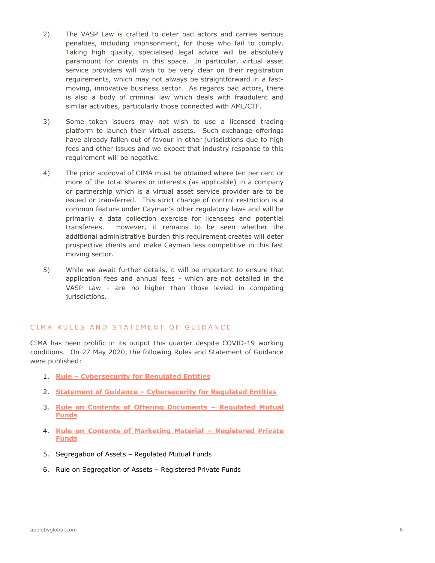- 2) The VASP Law is crafted to deter bad actors and carries serious penalties, including imprisonment, for those who fail to comply. Taking high quality, specialised legal advice will be absolutely paramount for clients in this space. In particular, virtual asset service providers will wish to be very clear on their registration requirements, which may not always be straightforward in a fastmoving, innovative business sector. As regards bad actors, there is also a body of criminal law which deals with fraudulent and similar activities, particularly those connected with AML/CTF.
- 3) Some token issuers may not wish to use a licensed trading platform to launch their virtual assets. Such exchange offerings have already fallen out of favour in other jurisdictions due to high fees and other issues and we expect that industry response to this requirement will be negative.
- 4) The prior approval of CIMA must be obtained where ten per cent or more of the total shares or interests (as applicable) in a company or partnership which is a virtual asset service provider are to be issued or transferred. This strict change of control restriction is a common feature under Cayman's other regulatory laws and will be primarily a data collection exercise for licensees and potential transferees. However, it remains to be seen whether the additional administrative burden this requirement creates will deter prospective clients and make Cayman less competitive in this fast moving sector.
- 5) While we await further details, it will be important to ensure that application fees and annual fees - which are not detailed in the VASP Law - are no higher than those levied in competing jurisdictions.

### CIMA RULES AND STATEMENT OF GUIDANCE

CIMA has been prolific in its output this quarter despite COVID-19 working conditions. On 27 May 2020, the following Rules and Statement of Guidance were published:

- 1. **Rule – [Cybersecurity for Regulated Entities](https://www.cima.ky/upimages/commonfiles/Rule-CybersecurityforRegulatedEntities_1591045083.pdf)**
- 2. **Statement of Guidance – [Cybersecurity for Regulated Entities](https://www.cima.ky/upimages/commonfiles/StatementofGuidance-CybersecurityforRegulatedEntities_1591021605.pdf)**
- 3. **[Rule on Contents of Offering Documents](https://www.cima.ky/upimages/commonfiles/Rule-ContentsofOfferingDocuments-RegulatedMutualFunds_1591021432.pdf) – Regulated Mutual [Funds](https://www.cima.ky/upimages/commonfiles/Rule-ContentsofOfferingDocuments-RegulatedMutualFunds_1591021432.pdf)**
- 4. **[Rule on Contents of Marketing Material](https://www.cima.ky/upimages/commonfiles/Rule-MarketingMaterials-RegisteredPrivateFunds_1591021479.pdf) – Registered Private [Funds](https://www.cima.ky/upimages/commonfiles/Rule-MarketingMaterials-RegisteredPrivateFunds_1591021479.pdf)**
- 5. Segregation of Assets Regulated Mutual Funds
- 6. Rule on Segregation of Assets Registered Private Funds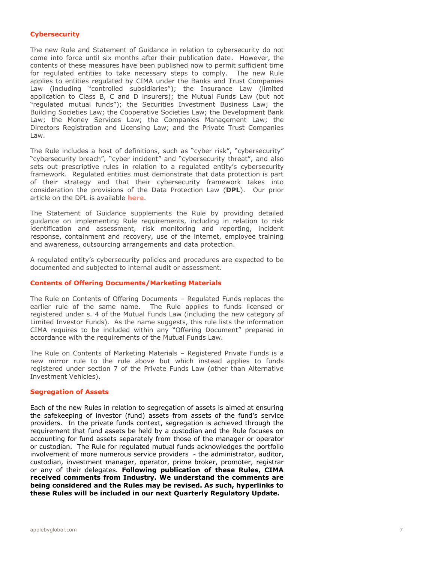#### **Cybersecurity**

The new Rule and Statement of Guidance in relation to cybersecurity do not come into force until six months after their publication date. However, the contents of these measures have been published now to permit sufficient time for regulated entities to take necessary steps to comply. The new Rule applies to entities regulated by CIMA under the Banks and Trust Companies Law (including "controlled subsidiaries"); the Insurance Law (limited application to Class B, C and D insurers); the Mutual Funds Law (but not "regulated mutual funds"); the Securities Investment Business Law; the Building Societies Law; the Cooperative Societies Law; the Development Bank Law; the Money Services Law; the Companies Management Law; the Directors Registration and Licensing Law; and the Private Trust Companies Law.

The Rule includes a host of definitions, such as "cyber risk", "cybersecurity" "cybersecurity breach", "cyber incident" and "cybersecurity threat", and also sets out prescriptive rules in relation to a regulated entity's cybersecurity framework. Regulated entities must demonstrate that data protection is part of their strategy and that their cybersecurity framework takes into consideration the provisions of the Data Protection Law (**DPL**). Our prior article on the DPL is available **[here](https://www.applebyglobal.com/publications/cayman-regulatory-newsletter-q4-2019/hot-topics/)**.

The Statement of Guidance supplements the Rule by providing detailed guidance on implementing Rule requirements, including in relation to risk identification and assessment, risk monitoring and reporting, incident response, containment and recovery, use of the internet, employee training and awareness, outsourcing arrangements and data protection.

A regulated entity's cybersecurity policies and procedures are expected to be documented and subjected to internal audit or assessment.

#### **Contents of Offering Documents/Marketing Materials**

The Rule on Contents of Offering Documents – Regulated Funds replaces the earlier rule of the same name. The Rule applies to funds licensed or registered under s. 4 of the Mutual Funds Law (including the new category of Limited Investor Funds). As the name suggests, this rule lists the information CIMA requires to be included within any "Offering Document" prepared in accordance with the requirements of the Mutual Funds Law.

The Rule on Contents of Marketing Materials – Registered Private Funds is a new mirror rule to the rule above but which instead applies to funds registered under section 7 of the Private Funds Law (other than Alternative Investment Vehicles).

#### **Segregation of Assets**

Each of the new Rules in relation to segregation of assets is aimed at ensuring the safekeeping of investor (fund) assets from assets of the fund's service providers. In the private funds context, segregation is achieved through the requirement that fund assets be held by a custodian and the Rule focuses on accounting for fund assets separately from those of the manager or operator or custodian. The Rule for regulated mutual funds acknowledges the portfolio involvement of more numerous service providers - the administrator, auditor, custodian, investment manager, operator, prime broker, promoter, registrar or any of their delegates. **Following publication of these Rules, CIMA received comments from Industry. We understand the comments are being considered and the Rules may be revised. As such, hyperlinks to these Rules will be included in our next Quarterly Regulatory Update.**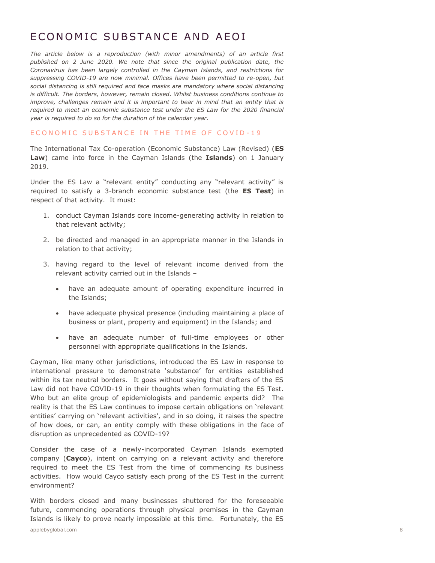### <span id="page-8-0"></span>E CONOMIC SUBSTANCE AND AFOI

*The article below is a reproduction (with minor amendments) of an article first published on 2 June 2020. We note that since the original publication date, the Coronavirus has been largely controlled in the Cayman Islands, and restrictions for suppressing COVID-19 are now minimal. Offices have been permitted to re-open, but*  social distancing is still required and face masks are mandatory where social distancing *is difficult. The borders, however, remain closed. Whilst business conditions continue to improve, challenges remain and it is important to bear in mind that an entity that is required to meet an economic substance test under the ES Law for the 2020 financial year is required to do so for the duration of the calendar year.*

#### ECONOMIC SUBSTANCE IN THE TIME OF COVID-19

The International Tax Co-operation (Economic Substance) Law (Revised) (**ES Law**) came into force in the Cayman Islands (the **Islands**) on 1 January 2019.

Under the ES Law a "relevant entity" conducting any "relevant activity" is required to satisfy a 3-branch economic substance test (the **ES Test**) in respect of that activity. It must:

- 1. conduct Cayman Islands core income-generating activity in relation to that relevant activity;
- 2. be directed and managed in an appropriate manner in the Islands in relation to that activity;
- 3. having regard to the level of relevant income derived from the relevant activity carried out in the Islands –
	- have an adequate amount of operating expenditure incurred in the Islands;
	- have adequate physical presence (including maintaining a place of business or plant, property and equipment) in the Islands; and
	- have an adequate number of full-time employees or other personnel with appropriate qualifications in the Islands.

Cayman, like many other jurisdictions, introduced the ES Law in response to international pressure to demonstrate 'substance' for entities established within its tax neutral borders. It goes without saying that drafters of the ES Law did not have COVID-19 in their thoughts when formulating the ES Test. Who but an elite group of epidemiologists and pandemic experts did? The reality is that the ES Law continues to impose certain obligations on 'relevant entities' carrying on 'relevant activities', and in so doing, it raises the spectre of how does, or can, an entity comply with these obligations in the face of disruption as unprecedented as COVID-19?

Consider the case of a newly-incorporated Cayman Islands exempted company (**Cayco**), intent on carrying on a relevant activity and therefore required to meet the ES Test from the time of commencing its business activities. How would Cayco satisfy each prong of the ES Test in the current environment?

applebyglobal.com 8 With borders closed and many businesses shuttered for the foreseeable future, commencing operations through physical premises in the Cayman Islands is likely to prove nearly impossible at this time. Fortunately, the ES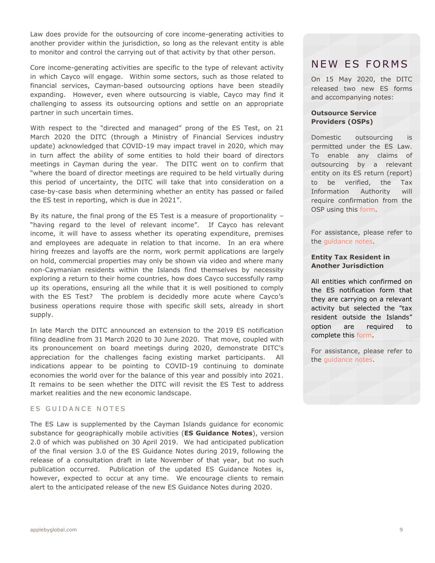Law does provide for the outsourcing of core income-generating activities to another provider within the jurisdiction, so long as the relevant entity is able to monitor and control the carrying out of that activity by that other person.

Core income-generating activities are specific to the type of relevant activity in which Cayco will engage. Within some sectors, such as those related to financial services, Cayman-based outsourcing options have been steadily expanding. However, even where outsourcing is viable, Cayco may find it challenging to assess its outsourcing options and settle on an appropriate partner in such uncertain times.

With respect to the "directed and managed" prong of the ES Test, on 21 March 2020 the DITC (through a Ministry of Financial Services industry update) acknowledged that COVID-19 may impact travel in 2020, which may in turn affect the ability of some entities to hold their board of directors meetings in Cayman during the year. The DITC went on to confirm that "where the board of director meetings are required to be held virtually during this period of uncertainty, the DITC will take that into consideration on a case-by-case basis when determining whether an entity has passed or failed the ES test in reporting, which is due in 2021".

By its nature, the final prong of the ES Test is a measure of proportionality – "having regard to the level of relevant income". If Cayco has relevant income, it will have to assess whether its operating expenditure, premises and employees are adequate in relation to that income. In an era where hiring freezes and layoffs are the norm, work permit applications are largely on hold, commercial properties may only be shown via video and where many non-Caymanian residents within the Islands find themselves by necessity exploring a return to their home countries, how does Cayco successfully ramp up its operations, ensuring all the while that it is well positioned to comply with the ES Test? The problem is decidedly more acute where Cayco's business operations require those with specific skill sets, already in short supply.

In late March the DITC announced an extension to the 2019 ES notification filing deadline from 31 March 2020 to 30 June 2020. That move, coupled with its pronouncement on board meetings during 2020, demonstrate DITC's appreciation for the challenges facing existing market participants. All indications appear to be pointing to COVID-19 continuing to dominate economies the world over for the balance of this year and possibly into 2021. It remains to be seen whether the DITC will revisit the ES Test to address market realities and the new economic landscape.

#### ES GUIDANCE NOTES

The ES Law is supplemented by the Cayman Islands guidance for economic substance for geographically mobile activities (**ES Guidance Notes**), version 2.0 of which was published on 30 April 2019. We had anticipated publication of the final version 3.0 of the ES Guidance Notes during 2019, following the release of a consultation draft in late November of that year, but no such publication occurred. Publication of the updated ES Guidance Notes is, however, expected to occur at any time. We encourage clients to remain alert to the anticipated release of the new ES Guidance Notes during 2020.

### NEW ES FORMS

On 15 May 2020, the DITC released two new ES forms and accompanying notes:

#### **Outsource Service Providers (OSPs)**

Domestic outsourcing is permitted under the ES Law. To enable any claims of outsourcing by a relevant entity on its ES return (report) to be verified, the Tax Information Authority will require confirmation from the OSP using this [form.](http://www.tia.gov.ky/pdf/Form_for_Outsource_Service_Providers.pdf)

For assistance, please refer to the [guidance notes.](http://www.tia.gov.ky/pdf/Notes_on_Form_for_Outsource_Service_Providers.pdf)

#### **Entity Tax Resident in Another Jurisdiction**

All entities which confirmed on the ES notification form that they are carrying on a relevant activity but selected the "tax resident outside the Islands" option are required to complete this [form.](http://www.tia.gov.ky/pdf/Notes_on_Form_for_Outsource_Service_Providers.pdf)

For assistance, please refer to the [guidance notes.](http://www.tia.gov.ky/pdf/Notes_on_Form_for_Entity_Tax_Resident_in_another_Jurisdiction.pdf)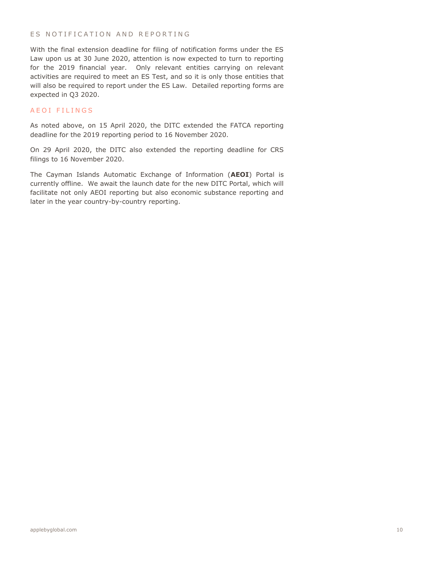#### ES NOTIFICATION AND REPORTING

With the final extension deadline for filing of notification forms under the ES Law upon us at 30 June 2020, attention is now expected to turn to reporting for the 2019 financial year. Only relevant entities carrying on relevant activities are required to meet an ES Test, and so it is only those entities that will also be required to report under the ES Law. Detailed reporting forms are expected in Q3 2020.

### A E O I FILINGS

As noted above, on 15 April 2020, the DITC extended the FATCA reporting deadline for the 2019 reporting period to 16 November 2020.

On 29 April 2020, the DITC also extended the reporting deadline for CRS filings to 16 November 2020.

The Cayman Islands Automatic Exchange of Information (**AEOI**) Portal is currently offline. We await the launch date for the new DITC Portal, which will facilitate not only AEOI reporting but also economic substance reporting and later in the year country-by-country reporting.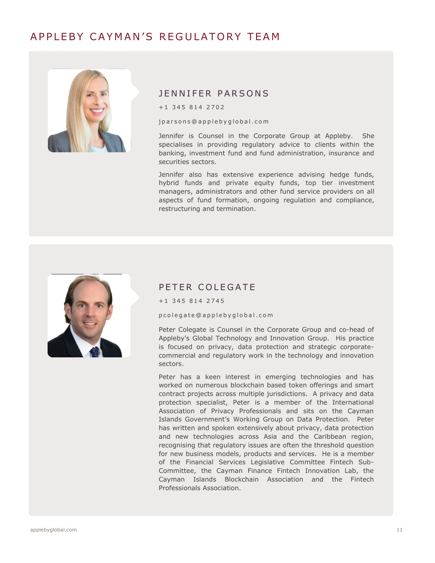### A P P L E R Y CA Y M A N 'S R E G U LA T O R Y T F A M

<span id="page-11-0"></span>

### J F N N I F F R P A R S O N S

j p a r s o n s @ a p p l e b y g l o b a l . c o m

Jennifer is Counsel in the Corporate Group at Appleby. She specialises in providing regulatory advice to clients within the banking, investment fund and fund administration, insurance and securities sectors.

Jennifer also has extensive experience advising hedge funds, hybrid funds and private equity funds, top tier investment managers, administrators and other fund service providers on all aspects of fund formation, ongoing regulation and compliance, restructuring and termination.



### PETER COLEGATE

 $+1$  345 814 2745

p c o l e g a t e @ a p p l e b y g l o b a l . c o m

Peter Colegate is Counsel in the Corporate Group and co-head of Appleby's Global Technology and Innovation Group. His practice is focused on privacy, data protection and strategic corporatecommercial and regulatory work in the technology and innovation sectors.

Peter has a keen interest in emerging technologies and has worked on numerous blockchain based token offerings and smart contract projects across multiple jurisdictions. A privacy and data protection specialist, Peter is a member of the International Association of Privacy Professionals and sits on the Cayman Islands Government's Working Group on Data Protection. Peter has written and spoken extensively about privacy, data protection and new technologies across Asia and the Caribbean region, recognising that regulatory issues are often the threshold question for new business models, products and services. He is a member of the Financial Services Legislative Committee Fintech Sub-Committee, the Cayman Finance Fintech Innovation Lab, the Cayman Islands Blockchain Association and the Fintech Professionals Association.